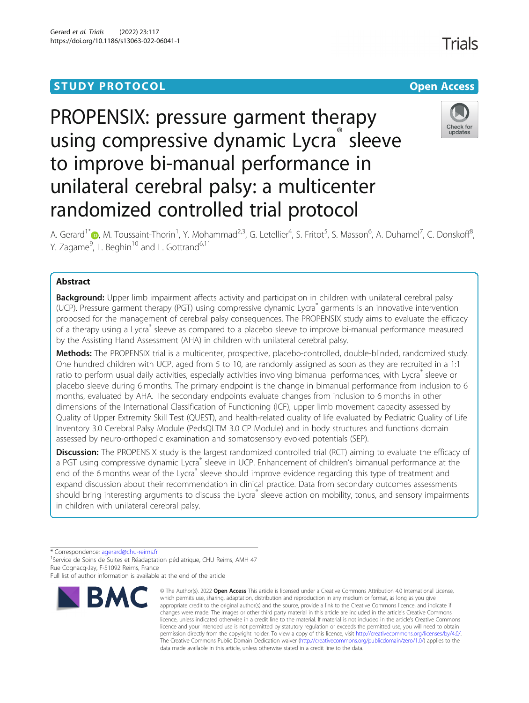## **STUDY PROTOCOL CONSUMING THE RESERVE ACCESS**

# PROPENSIX: pressure garment therapy using compressive dynamic Lycra<sup>®</sup> sleeve to improve bi-manual performance in unilateral cerebral palsy: a multicenter randomized controlled trial protocol



A. Gerard<sup>1[\\*](http://orcid.org/0000-0002-5853-1678)</sup>®, M. Toussaint-Thorin<sup>1</sup>, Y. Mohammad<sup>2,3</sup>, G. Letellier<sup>4</sup>, S. Fritot<sup>5</sup>, S. Masson<sup>6</sup>, A. Duhamel<sup>7</sup>, C. Donskoff<sup>8</sup> , Y. Zagame<sup>9</sup>, L. Beghin<sup>10</sup> and L. Gottrand<sup>6,11</sup>

## Abstract

Background: Upper limb impairment affects activity and participation in children with unilateral cerebral palsy (UCP). Pressure garment therapy (PGT) using compressive dynamic Lycra® garments is an innovative intervention proposed for the management of cerebral palsy consequences. The PROPENSIX study aims to evaluate the efficacy of a therapy using a Lycra® sleeve as compared to a placebo sleeve to improve bi-manual performance measured by the Assisting Hand Assessment (AHA) in children with unilateral cerebral palsy.

Methods: The PROPENSIX trial is a multicenter, prospective, placebo-controlled, double-blinded, randomized study. One hundred children with UCP, aged from 5 to 10, are randomly assigned as soon as they are recruited in a 1:1 ratio to perform usual daily activities, especially activities involving bimanual performances, with Lycra® sleeve or placebo sleeve during 6 months. The primary endpoint is the change in bimanual performance from inclusion to 6 months, evaluated by AHA. The secondary endpoints evaluate changes from inclusion to 6 months in other dimensions of the International Classification of Functioning (ICF), upper limb movement capacity assessed by Quality of Upper Extremity Skill Test (QUEST), and health-related quality of life evaluated by Pediatric Quality of Life Inventory 3.0 Cerebral Palsy Module (PedsQLTM 3.0 CP Module) and in body structures and functions domain assessed by neuro-orthopedic examination and somatosensory evoked potentials (SEP).

Discussion: The PROPENSIX study is the largest randomized controlled trial (RCT) aiming to evaluate the efficacy of a PGT using compressive dynamic Lycra® sleeve in UCP. Enhancement of children's bimanual performance at the end of the 6 months wear of the Lycra® sleeve should improve evidence regarding this type of treatment and expand discussion about their recommendation in clinical practice. Data from secondary outcomes assessments should bring interesting arguments to discuss the Lycra® sleeve action on mobility, tonus, and sensory impairments in children with unilateral cerebral palsy.

\* Correspondence: [agerard@chu-reims.fr](mailto:agerard@chu-reims.fr) <sup>1</sup>

<sup>1</sup>Service de Soins de Suites et Réadaptation pédiatrique, CHU Reims, AMH 47 Rue Cognacq-Jay, F-51092 Reims, France

Full list of author information is available at the end of the article



<sup>©</sup> The Author(s), 2022 **Open Access** This article is licensed under a Creative Commons Attribution 4.0 International License, which permits use, sharing, adaptation, distribution and reproduction in any medium or format, as long as you give appropriate credit to the original author(s) and the source, provide a link to the Creative Commons licence, and indicate if changes were made. The images or other third party material in this article are included in the article's Creative Commons licence, unless indicated otherwise in a credit line to the material. If material is not included in the article's Creative Commons licence and your intended use is not permitted by statutory regulation or exceeds the permitted use, you will need to obtain permission directly from the copyright holder. To view a copy of this licence, visit [http://creativecommons.org/licenses/by/4.0/.](http://creativecommons.org/licenses/by/4.0/) The Creative Commons Public Domain Dedication waiver [\(http://creativecommons.org/publicdomain/zero/1.0/](http://creativecommons.org/publicdomain/zero/1.0/)) applies to the data made available in this article, unless otherwise stated in a credit line to the data.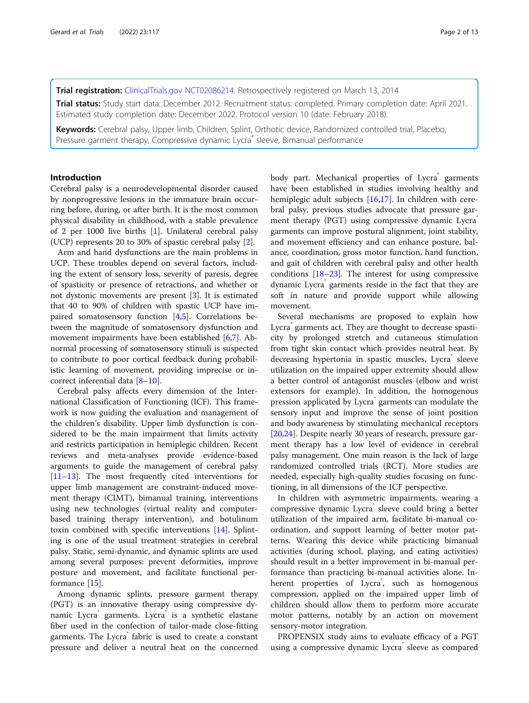## Trial registration: [ClinicalTrials.gov](http://clinicaltrials.gov) [NCT02086214](https://clinicaltrials.gov/ct2/show/NCT02086214). Retrospectively registered on March 13, 2014

Trial status: Study start data: December 2012. Recruitment status: completed. Primary completion date: April 2021. Estimated study completion date: December 2022. Protocol version 10 (date: February 2018).

Keywords: Cerebral palsy, Upper limb, Children, Splint, Orthotic device, Randomized controlled trial, Placebo, Pressure garment therapy, Compressive dynamic Lycra® sleeve, Bimanual performance

## Introduction

Cerebral palsy is a neurodevelopmental disorder caused by nonprogressive lesions in the immature brain occurring before, during, or after birth. It is the most common physical disability in childhood, with a stable prevalence of 2 per 1000 live births [\[1](#page-10-0)]. Unilateral cerebral palsy (UCP) represents 20 to 30% of spastic cerebral palsy [[2\]](#page-10-0).

Arm and hand dysfunctions are the main problems in UCP. These troubles depend on several factors, including the extent of sensory loss, severity of paresis, degree of spasticity or presence of retractions, and whether or not dystonic movements are present [[3\]](#page-10-0). It is estimated that 40 to 90% of children with spastic UCP have impaired somatosensory function [[4,5\]](#page-10-0). Correlations between the magnitude of somatosensory dysfunction and movement impairments have been established [\[6](#page-10-0)[,7](#page-11-0)]. Abnormal processing of somatosensory stimuli is suspected to contribute to poor cortical feedback during probabilistic learning of movement, providing imprecise or incorrect inferential data [\[8](#page-11-0)–[10\]](#page-11-0).

Cerebral palsy affects every dimension of the International Classification of Functioning (ICF). This framework is now guiding the evaluation and management of the children's disability. Upper limb dysfunction is considered to be the main impairment that limits activity and restricts participation in hemiplegic children. Recent reviews and meta-analyses provide evidence-based arguments to guide the management of cerebral palsy [[11](#page-11-0)–[13](#page-11-0)]. The most frequently cited interventions for upper limb management are constraint-induced movement therapy (CIMT), bimanual training, interventions using new technologies (virtual reality and computerbased training therapy intervention), and botulinum toxin combined with specific interventions [[14\]](#page-11-0). Splinting is one of the usual treatment strategies in cerebral palsy. Static, semi-dynamic, and dynamic splints are used among several purposes: prevent deformities, improve posture and movement, and facilitate functional performance [\[15](#page-11-0)].

Among dynamic splints, pressure garment therapy (PGT) is an innovative therapy using compressive dynamic Lycra garments. Lycra is a synthetic elastane fiber used in the confection of tailor-made close-fitting garments. The Lycra fabric is used to create a constant pressure and deliver a neutral heat on the concerned body part. Mechanical properties of Lycra garments have been established in studies involving healthy and hemiplegic adult subjects [\[16,17](#page-11-0)]. In children with cerebral palsy, previous studies advocate that pressure garment therapy (PGT) using compressive dynamic Lycra® garments can improve postural alignment, joint stability, and movement efficiency and can enhance posture, balance, coordination, gross motor function, hand function, and gait of children with cerebral palsy and other health conditions  $[18–23]$  $[18–23]$  $[18–23]$ . The interest for using compressive dynamic Lycra® garments reside in the fact that they are soft in nature and provide support while allowing movement.

Several mechanisms are proposed to explain how Lycra garments act. They are thought to decrease spasticity by prolonged stretch and cutaneous stimulation from tight skin contact which provides neutral heat. By decreasing hypertonia in spastic muscles, Lycra sleeve utilization on the impaired upper extremity should allow a better control of antagonist muscles (elbow and wrist extensors for example). In addition, the homogenous pression applicated by Lycra<sup>®</sup> garments can modulate the sensory input and improve the sense of joint position and body awareness by stimulating mechanical receptors [[20,24\]](#page-11-0). Despite nearly 30 years of research, pressure garment therapy has a low level of evidence in cerebral palsy management. One main reason is the lack of large randomized controlled trials (RCT). More studies are needed, especially high-quality studies focusing on functioning, in all dimensions of the ICF perspective.

In children with asymmetric impairments, wearing a compressive dynamic Lycra® sleeve could bring a better utilization of the impaired arm, facilitate bi-manual coordination, and support learning of better motor patterns. Wearing this device while practicing bimanual activities (during school, playing, and eating activities) should result in a better improvement in bi-manual performance than practicing bi-manual activities alone. Inherent properties of Lycra<sup>®</sup>, such as homogenous compression, applied on the impaired upper limb of children should allow them to perform more accurate motor patterns, notably by an action on movement sensory-motor integration.

PROPENSIX study aims to evaluate efficacy of a PGT using a compressive dynamic Lycra sleeve as compared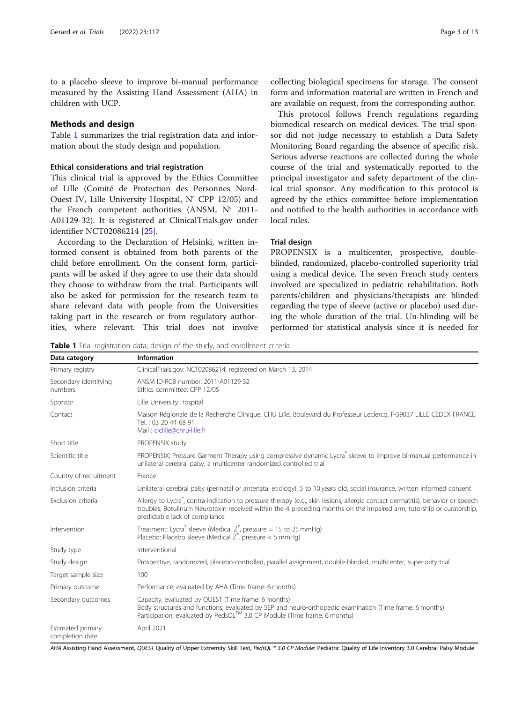to a placebo sleeve to improve bi-manual performance measured by the Assisting Hand Assessment (AHA) in children with UCP.

## Methods and design

Table 1 summarizes the trial registration data and information about the study design and population.

## Ethical considerations and trial registration

This clinical trial is approved by the Ethics Committee of Lille (Comité de Protection des Personnes Nord-Ouest IV, Lille University Hospital, N° CPP 12/05) and the French competent authorities (ANSM, N° 2011- A01129-32). It is registered at ClinicalTrials.gov under identifier NCT02086214 [\[25](#page-11-0)].

According to the Declaration of Helsinki, written informed consent is obtained from both parents of the child before enrollment. On the consent form, participants will be asked if they agree to use their data should they choose to withdraw from the trial. Participants will also be asked for permission for the research team to share relevant data with people from the Universities taking part in the research or from regulatory authorities, where relevant. This trial does not involve collecting biological specimens for storage. The consent form and information material are written in French and are available on request, from the corresponding author.

This protocol follows French regulations regarding biomedical research on medical devices. The trial sponsor did not judge necessary to establish a Data Safety Monitoring Board regarding the absence of specific risk. Serious adverse reactions are collected during the whole course of the trial and systematically reported to the principal investigator and safety department of the clinical trial sponsor. Any modification to this protocol is agreed by the ethics committee before implementation and notified to the health authorities in accordance with local rules.

## Trial design

PROPENSIX is a multicenter, prospective, doubleblinded, randomized, placebo-controlled superiority trial using a medical device. The seven French study centers involved are specialized in pediatric rehabilitation. Both parents/children and physicians/therapists are blinded regarding the type of sleeve (active or placebo) used during the whole duration of the trial. Un-blinding will be performed for statistical analysis since it is needed for

**Table 1** Trial registration data, design of the study, and enrollment criteria

| Data category                        | <b>Information</b>                                                                                                                                                                                                                                                                                    |  |  |  |
|--------------------------------------|-------------------------------------------------------------------------------------------------------------------------------------------------------------------------------------------------------------------------------------------------------------------------------------------------------|--|--|--|
| Primary registry                     | ClinicalTrials.gov: NCT02086214, registered on March 13, 2014                                                                                                                                                                                                                                         |  |  |  |
| Secondary identifying<br>numbers     | ANSM ID-RCB number: 2011-A01129-32<br>Ethics committee: CPP 12/05                                                                                                                                                                                                                                     |  |  |  |
| Sponsor                              | Lille University Hospital                                                                                                                                                                                                                                                                             |  |  |  |
| Contact                              | Maison Régionale de la Recherche Clinique, CHU Lille, Boulevard du Professeur Leclercq, F-59037 LILLE CEDEX FRANCE<br>Tel.: 03 20 44 68 91<br>Mail: ciclille@chru-lille.fr                                                                                                                            |  |  |  |
| Short title                          | PROPENSIX study                                                                                                                                                                                                                                                                                       |  |  |  |
| Scientific title                     | PROPENSIX: Pressure Garment Therapy using compressive dynamic Lycra sleeve to improve bi-manual performance in<br>unilateral cerebral palsy, a multicenter randomized controlled trial                                                                                                                |  |  |  |
| Country of recruitment               | France                                                                                                                                                                                                                                                                                                |  |  |  |
| Inclusion criteria                   | Unilateral cerebral palsy (perinatal or antenatal etiology), 5 to 10 years old, social insurance, written informed consent                                                                                                                                                                            |  |  |  |
| Exclusion criteria                   | Allergy to Lycra <sup>®</sup> , contra-indication to pressure therapy (e.g., skin lesions, allergic contact dermatitis), behavior or speech<br>troubles, Botulinum Neurotoxin received within the 4 preceding months on the impaired arm, tutorship or curatorship,<br>predictable lack of compliance |  |  |  |
| Intervention                         | Treatment: Lycra <sup>®</sup> sleeve (Medical $Z^{\circ}$ , pressure = 15 to 25 mmHg)<br>Placebo: Placebo sleeve (Medical Z <sup>®</sup> , pressure < 5 mmHg)                                                                                                                                         |  |  |  |
| Study type                           | Interventional                                                                                                                                                                                                                                                                                        |  |  |  |
| Study design                         | Prospective, randomized, placebo-controlled, parallel assignment, double-blinded, multicenter, superiority trial                                                                                                                                                                                      |  |  |  |
| Target sample size                   | 100                                                                                                                                                                                                                                                                                                   |  |  |  |
| Primary outcome                      | Performance, evaluated by AHA (Time frame: 6 months)                                                                                                                                                                                                                                                  |  |  |  |
| Secondary outcomes                   | Capacity, evaluated by QUEST (Time frame: 6 months)<br>Body structures and functions, evaluated by SEP and neuro-orthopedic examination (Time frame: 6 months)<br>Participation, evaluated by PedsQL™ 3.0 CP Module (Time frame: 6 months)                                                            |  |  |  |
| Estimated primary<br>completion date | April 2021                                                                                                                                                                                                                                                                                            |  |  |  |

AHA Assisting Hand Assessment, QUEST Quality of Upper Extremity Skill Test, PedsQL™ 3.0 CP Module: Pediatric Quality of Life Inventory 3.0 Cerebral Palsy Module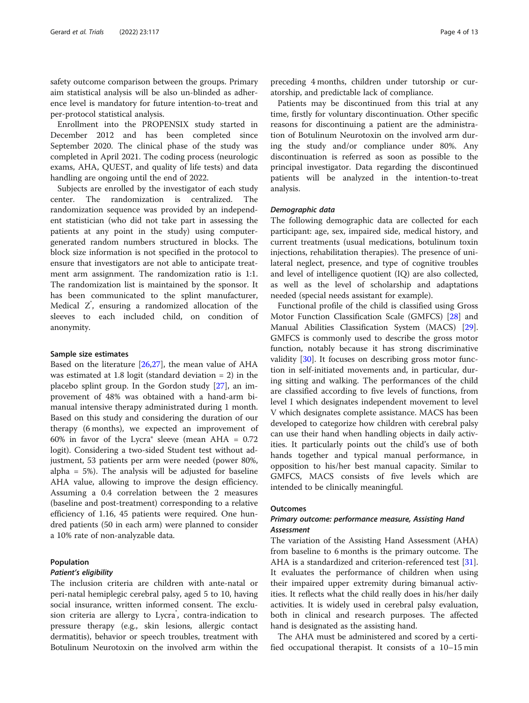safety outcome comparison between the groups. Primary aim statistical analysis will be also un-blinded as adherence level is mandatory for future intention-to-treat and per-protocol statistical analysis.

Enrollment into the PROPENSIX study started in December 2012 and has been completed since September 2020. The clinical phase of the study was completed in April 2021. The coding process (neurologic exams, AHA, QUEST, and quality of life tests) and data handling are ongoing until the end of 2022.

Subjects are enrolled by the investigator of each study center. The randomization is centralized. The randomization sequence was provided by an independent statistician (who did not take part in assessing the patients at any point in the study) using computergenerated random numbers structured in blocks. The block size information is not specified in the protocol to ensure that investigators are not able to anticipate treatment arm assignment. The randomization ratio is 1:1. The randomization list is maintained by the sponsor. It has been communicated to the splint manufacturer, Medical Z<sup>°</sup>, ensuring a randomized allocation of the sleeves to each included child, on condition of anonymity.

#### Sample size estimates

Based on the literature  $[26,27]$ , the mean value of AHA was estimated at 1.8 logit (standard deviation = 2) in the placebo splint group. In the Gordon study [\[27](#page-11-0)], an improvement of 48% was obtained with a hand-arm bimanual intensive therapy administrated during 1 month. Based on this study and considering the duration of our therapy (6 months), we expected an improvement of 60% in favor of the Lycra® sleeve (mean  $AHA = 0.72$ logit). Considering a two-sided Student test without adjustment, 53 patients per arm were needed (power 80%, alpha = 5%). The analysis will be adjusted for baseline AHA value, allowing to improve the design efficiency. Assuming a 0.4 correlation between the 2 measures (baseline and post-treatment) corresponding to a relative efficiency of 1.16, 45 patients were required. One hundred patients (50 in each arm) were planned to consider a 10% rate of non-analyzable data.

### Population

#### Patient's eligibility

The inclusion criteria are children with ante-natal or peri-natal hemiplegic cerebral palsy, aged 5 to 10, having social insurance, written informed consent. The exclusion criteria are allergy to Lycra<sup>®</sup>, contra-indication to pressure therapy (e.g., skin lesions, allergic contact dermatitis), behavior or speech troubles, treatment with Botulinum Neurotoxin on the involved arm within the

preceding 4 months, children under tutorship or curatorship, and predictable lack of compliance.

Patients may be discontinued from this trial at any time, firstly for voluntary discontinuation. Other specific reasons for discontinuing a patient are the administration of Botulinum Neurotoxin on the involved arm during the study and/or compliance under 80%. Any discontinuation is referred as soon as possible to the principal investigator. Data regarding the discontinued patients will be analyzed in the intention-to-treat analysis.

#### Demographic data

The following demographic data are collected for each participant: age, sex, impaired side, medical history, and current treatments (usual medications, botulinum toxin injections, rehabilitation therapies). The presence of unilateral neglect, presence, and type of cognitive troubles and level of intelligence quotient (IQ) are also collected, as well as the level of scholarship and adaptations needed (special needs assistant for example).

Functional profile of the child is classified using Gross Motor Function Classification Scale (GMFCS) [\[28](#page-11-0)] and Manual Abilities Classification System (MACS) [\[29](#page-11-0)]. GMFCS is commonly used to describe the gross motor function, notably because it has strong discriminative validity [[30\]](#page-11-0). It focuses on describing gross motor function in self-initiated movements and, in particular, during sitting and walking. The performances of the child are classified according to five levels of functions, from level I which designates independent movement to level V which designates complete assistance. MACS has been developed to categorize how children with cerebral palsy can use their hand when handling objects in daily activities. It particularly points out the child's use of both hands together and typical manual performance, in opposition to his/her best manual capacity. Similar to GMFCS, MACS consists of five levels which are intended to be clinically meaningful.

## **Outcomes**

## Primary outcome: performance measure, Assisting Hand Assessment

The variation of the Assisting Hand Assessment (AHA) from baseline to 6 months is the primary outcome. The AHA is a standardized and criterion-referenced test [\[31](#page-11-0)]. It evaluates the performance of children when using their impaired upper extremity during bimanual activities. It reflects what the child really does in his/her daily activities. It is widely used in cerebral palsy evaluation, both in clinical and research purposes. The affected hand is designated as the assisting hand.

The AHA must be administered and scored by a certified occupational therapist. It consists of a 10–15 min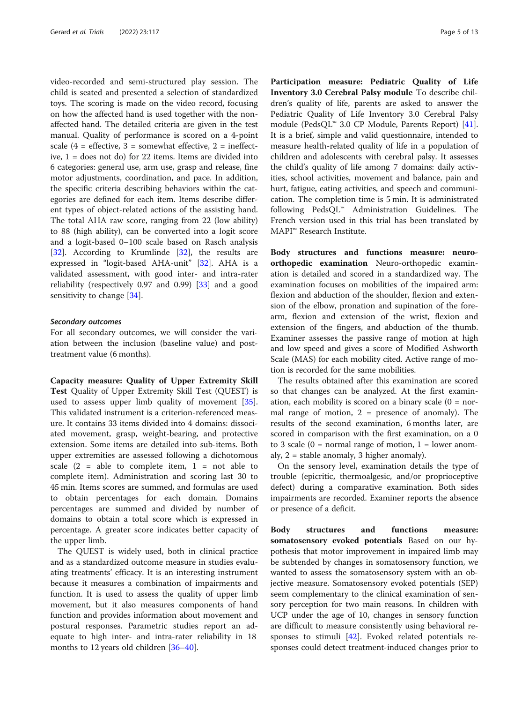video-recorded and semi-structured play session. The child is seated and presented a selection of standardized toys. The scoring is made on the video record, focusing on how the affected hand is used together with the nonaffected hand. The detailed criteria are given in the test manual. Quality of performance is scored on a 4-point scale  $(4 =$  effective,  $3 =$  somewhat effective,  $2 =$  ineffective, 1 = does not do) for 22 items. Items are divided into 6 categories: general use, arm use, grasp and release, fine motor adjustments, coordination, and pace. In addition, the specific criteria describing behaviors within the categories are defined for each item. Items describe different types of object-related actions of the assisting hand. The total AHA raw score, ranging from 22 (low ability) to 88 (high ability), can be converted into a logit score and a logit-based 0–100 scale based on Rasch analysis [[32\]](#page-11-0). According to Krumlinde [32], the results are expressed in "logit-based AHA-unit" [[32\]](#page-11-0). AHA is a validated assessment, with good inter- and intra-rater reliability (respectively 0.97 and 0.99) [[33\]](#page-11-0) and a good sensitivity to change [[34\]](#page-11-0).

## Secondary outcomes

For all secondary outcomes, we will consider the variation between the inclusion (baseline value) and posttreatment value (6 months).

Capacity measure: Quality of Upper Extremity Skill Test Quality of Upper Extremity Skill Test (QUEST) is used to assess upper limb quality of movement [\[35](#page-11-0)]. This validated instrument is a criterion-referenced measure. It contains 33 items divided into 4 domains: dissociated movement, grasp, weight-bearing, and protective extension. Some items are detailed into sub-items. Both upper extremities are assessed following a dichotomous scale  $(2 = able to complete item, 1 = not able to$ complete item). Administration and scoring last 30 to 45 min. Items scores are summed, and formulas are used to obtain percentages for each domain. Domains percentages are summed and divided by number of domains to obtain a total score which is expressed in percentage. A greater score indicates better capacity of the upper limb.

The QUEST is widely used, both in clinical practice and as a standardized outcome measure in studies evaluating treatments' efficacy. It is an interesting instrument because it measures a combination of impairments and function. It is used to assess the quality of upper limb movement, but it also measures components of hand function and provides information about movement and postural responses. Parametric studies report an adequate to high inter- and intra-rater reliability in 18 months to 12 years old children [[36](#page-11-0)–[40](#page-11-0)].

Participation measure: Pediatric Quality of Life Inventory 3.0 Cerebral Palsy module To describe children's quality of life, parents are asked to answer the Pediatric Quality of Life Inventory 3.0 Cerebral Palsy module (PedsQL™ 3.0 CP Module, Parents Report) [\[41](#page-11-0)]. It is a brief, simple and valid questionnaire, intended to measure health-related quality of life in a population of children and adolescents with cerebral palsy. It assesses the child's quality of life among 7 domains: daily activities, school activities, movement and balance, pain and hurt, fatigue, eating activities, and speech and communication. The completion time is 5 min. It is administrated following PedsQL™ Administration Guidelines. The French version used in this trial has been translated by MAPI™ Research Institute.

Body structures and functions measure: neuroorthopedic examination Neuro-orthopedic examination is detailed and scored in a standardized way. The examination focuses on mobilities of the impaired arm: flexion and abduction of the shoulder, flexion and extension of the elbow, pronation and supination of the forearm, flexion and extension of the wrist, flexion and extension of the fingers, and abduction of the thumb. Examiner assesses the passive range of motion at high and low speed and gives a score of Modified Ashworth Scale (MAS) for each mobility cited. Active range of motion is recorded for the same mobilities.

The results obtained after this examination are scored so that changes can be analyzed. At the first examination, each mobility is scored on a binary scale  $(0 = nor$ mal range of motion,  $2 =$  presence of anomaly). The results of the second examination, 6 months later, are scored in comparison with the first examination, on a 0 to 3 scale  $(0 = normal range of motion, 1 = lower anom$ aly, 2 = stable anomaly, 3 higher anomaly).

On the sensory level, examination details the type of trouble (epicritic, thermoalgesic, and/or proprioceptive defect) during a comparative examination. Both sides impairments are recorded. Examiner reports the absence or presence of a deficit.

Body structures and functions measure: somatosensory evoked potentials Based on our hypothesis that motor improvement in impaired limb may be subtended by changes in somatosensory function, we wanted to assess the somatosensory system with an objective measure. Somatosensory evoked potentials (SEP) seem complementary to the clinical examination of sensory perception for two main reasons. In children with UCP under the age of 10, changes in sensory function are difficult to measure consistently using behavioral responses to stimuli  $[42]$  $[42]$ . Evoked related potentials responses could detect treatment-induced changes prior to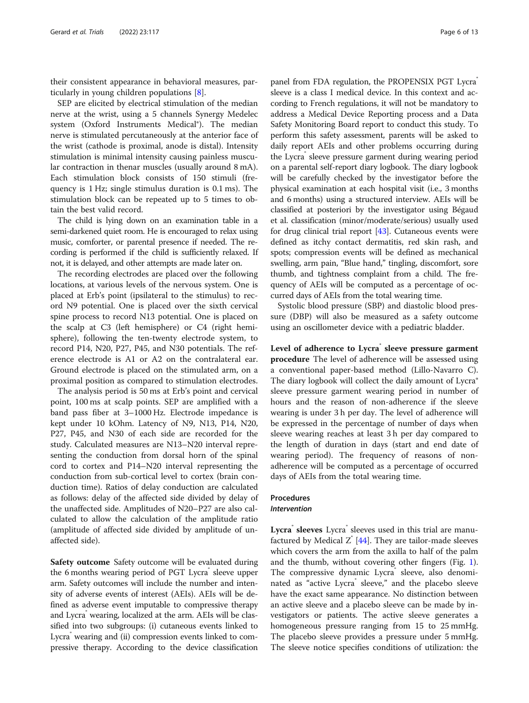their consistent appearance in behavioral measures, particularly in young children populations [[8\]](#page-11-0).

SEP are elicited by electrical stimulation of the median nerve at the wrist, using a 5 channels Synergy Medelec system (Oxford Instruments Medical®). The median nerve is stimulated percutaneously at the anterior face of the wrist (cathode is proximal, anode is distal). Intensity stimulation is minimal intensity causing painless muscular contraction in thenar muscles (usually around 8 mA). Each stimulation block consists of 150 stimuli (frequency is 1 Hz; single stimulus duration is 0.1 ms). The stimulation block can be repeated up to 5 times to obtain the best valid record.

The child is lying down on an examination table in a semi-darkened quiet room. He is encouraged to relax using music, comforter, or parental presence if needed. The recording is performed if the child is sufficiently relaxed. If not, it is delayed, and other attempts are made later on.

The recording electrodes are placed over the following locations, at various levels of the nervous system. One is placed at Erb's point (ipsilateral to the stimulus) to record N9 potential. One is placed over the sixth cervical spine process to record N13 potential. One is placed on the scalp at C3 (left hemisphere) or C4 (right hemisphere), following the ten-twenty electrode system, to record P14, N20, P27, P45, and N30 potentials. The reference electrode is A1 or A2 on the contralateral ear. Ground electrode is placed on the stimulated arm, on a proximal position as compared to stimulation electrodes.

The analysis period is 50 ms at Erb's point and cervical point, 100 ms at scalp points. SEP are amplified with a band pass fiber at 3–1000 Hz. Electrode impedance is kept under 10 kOhm. Latency of N9, N13, P14, N20, P27, P45, and N30 of each side are recorded for the study. Calculated measures are N13–N20 interval representing the conduction from dorsal horn of the spinal cord to cortex and P14–N20 interval representing the conduction from sub-cortical level to cortex (brain conduction time). Ratios of delay conduction are calculated as follows: delay of the affected side divided by delay of the unaffected side. Amplitudes of N20–P27 are also calculated to allow the calculation of the amplitude ratio (amplitude of affected side divided by amplitude of unaffected side).

Safety outcome Safety outcome will be evaluated during the 6 months wearing period of PGT Lycra® sleeve upper arm. Safety outcomes will include the number and intensity of adverse events of interest (AEIs). AEIs will be defined as adverse event imputable to compressive therapy and Lycra<sup>®</sup> wearing, localized at the arm. AEIs will be classified into two subgroups: (i) cutaneous events linked to Lycra wearing and (ii) compression events linked to compressive therapy. According to the device classification panel from FDA regulation, the PROPENSIX PGT Lycra® sleeve is a class I medical device. In this context and according to French regulations, it will not be mandatory to address a Medical Device Reporting process and a Data Safety Monitoring Board report to conduct this study. To perform this safety assessment, parents will be asked to daily report AEIs and other problems occurring during the Lycra® sleeve pressure garment during wearing period on a parental self-report diary logbook. The diary logbook will be carefully checked by the investigator before the physical examination at each hospital visit (i.e., 3 months and 6 months) using a structured interview. AEIs will be classified at posteriori by the investigator using Bégaud et al. classification (minor/moderate/serious) usually used for drug clinical trial report [\[43](#page-11-0)]. Cutaneous events were defined as itchy contact dermatitis, red skin rash, and spots; compression events will be defined as mechanical swelling, arm pain, "Blue hand," tingling, discomfort, sore thumb, and tightness complaint from a child. The frequency of AEIs will be computed as a percentage of occurred days of AEIs from the total wearing time.

Systolic blood pressure (SBP) and diastolic blood pressure (DBP) will also be measured as a safety outcome using an oscillometer device with a pediatric bladder.

Level of adherence to Lycra<sup>s</sup> sleeve pressure garment procedure The level of adherence will be assessed using a conventional paper-based method (Lillo-Navarro C). The diary logbook will collect the daily amount of Lycra® sleeve pressure garment wearing period in number of hours and the reason of non-adherence if the sleeve wearing is under 3 h per day. The level of adherence will be expressed in the percentage of number of days when sleeve wearing reaches at least 3 h per day compared to the length of duration in days (start and end date of wearing period). The frequency of reasons of nonadherence will be computed as a percentage of occurred days of AEIs from the total wearing time.

## Procedures Intervention

Lycra<sup>®</sup> sleeves Lycra® sleeves used in this trial are manufactured by Medical  $Z$  [\[44](#page-11-0)]. They are tailor-made sleeves which covers the arm from the axilla to half of the palm and the thumb, without covering other fingers (Fig. [1](#page-6-0)). The compressive dynamic Lycra® sleeve, also denominated as "active Lycra" sleeve," and the placebo sleeve have the exact same appearance. No distinction between an active sleeve and a placebo sleeve can be made by investigators or patients. The active sleeve generates a homogeneous pressure ranging from 15 to 25 mmHg. The placebo sleeve provides a pressure under 5 mmHg. The sleeve notice specifies conditions of utilization: the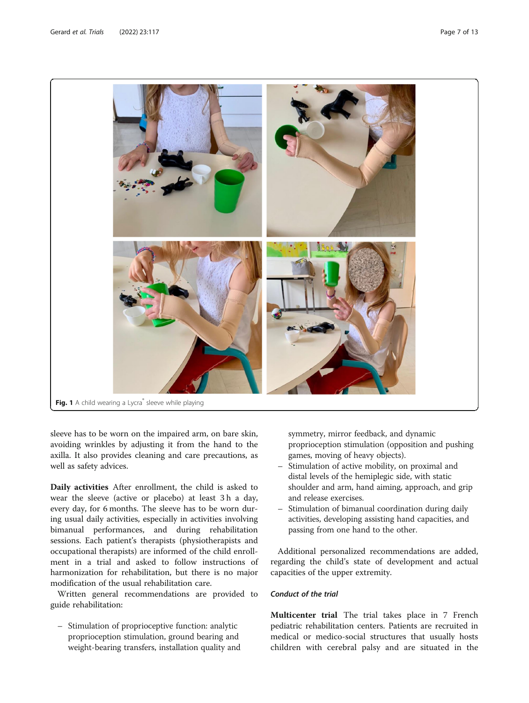<span id="page-6-0"></span>

sleeve has to be worn on the impaired arm, on bare skin, avoiding wrinkles by adjusting it from the hand to the axilla. It also provides cleaning and care precautions, as well as safety advices.

Daily activities After enrollment, the child is asked to wear the sleeve (active or placebo) at least 3 h a day, every day, for 6 months. The sleeve has to be worn during usual daily activities, especially in activities involving bimanual performances, and during rehabilitation sessions. Each patient's therapists (physiotherapists and occupational therapists) are informed of the child enrollment in a trial and asked to follow instructions of harmonization for rehabilitation, but there is no major modification of the usual rehabilitation care.

Written general recommendations are provided to guide rehabilitation:

– Stimulation of proprioceptive function: analytic proprioception stimulation, ground bearing and weight-bearing transfers, installation quality and symmetry, mirror feedback, and dynamic proprioception stimulation (opposition and pushing games, moving of heavy objects).

- Stimulation of active mobility, on proximal and distal levels of the hemiplegic side, with static shoulder and arm, hand aiming, approach, and grip and release exercises.
- Stimulation of bimanual coordination during daily activities, developing assisting hand capacities, and passing from one hand to the other.

Additional personalized recommendations are added, regarding the child's state of development and actual capacities of the upper extremity.

## Conduct of the trial

Multicenter trial The trial takes place in 7 French pediatric rehabilitation centers. Patients are recruited in medical or medico-social structures that usually hosts children with cerebral palsy and are situated in the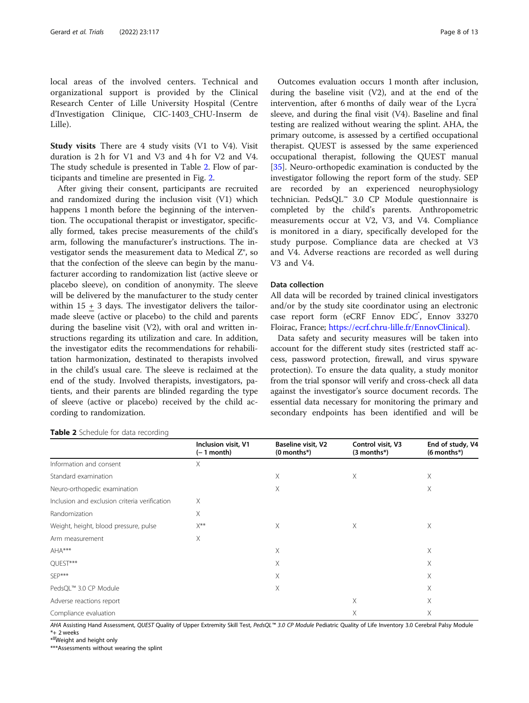local areas of the involved centers. Technical and organizational support is provided by the Clinical Research Center of Lille University Hospital (Centre d'Investigation Clinique, CIC-1403\_CHU-Inserm de Lille).

Study visits There are 4 study visits (V1 to V4). Visit duration is 2 h for V1 and V3 and 4 h for V2 and V4. The study schedule is presented in Table 2. Flow of participants and timeline are presented in Fig. [2.](#page-8-0)

After giving their consent, participants are recruited and randomized during the inclusion visit (V1) which happens 1 month before the beginning of the intervention. The occupational therapist or investigator, specifically formed, takes precise measurements of the child's arm, following the manufacturer's instructions. The investigator sends the measurement data to Medical Z®, so that the confection of the sleeve can begin by the manufacturer according to randomization list (active sleeve or placebo sleeve), on condition of anonymity. The sleeve will be delivered by the manufacturer to the study center within  $15 + 3$  days. The investigator delivers the tailormade sleeve (active or placebo) to the child and parents during the baseline visit (V2), with oral and written instructions regarding its utilization and care. In addition, the investigator edits the recommendations for rehabilitation harmonization, destinated to therapists involved in the child's usual care. The sleeve is reclaimed at the end of the study. Involved therapists, investigators, patients, and their parents are blinded regarding the type of sleeve (active or placebo) received by the child according to randomization.

#### **Table 2** Schedule for data recording

Outcomes evaluation occurs 1 month after inclusion, during the baseline visit  $(V2)$ , and at the end of the intervention, after 6 months of daily wear of the Lycra sleeve, and during the final visit (V4). Baseline and final testing are realized without wearing the splint. AHA, the primary outcome, is assessed by a certified occupational therapist. QUEST is assessed by the same experienced occupational therapist, following the QUEST manual [[35\]](#page-11-0). Neuro-orthopedic examination is conducted by the investigator following the report form of the study. SEP are recorded by an experienced neurophysiology technician. PedsQL™ 3.0 CP Module questionnaire is completed by the child's parents. Anthropometric measurements occur at V2, V3, and V4. Compliance is monitored in a diary, specifically developed for the study purpose. Compliance data are checked at V3 and V4. Adverse reactions are recorded as well during V3 and V4.

## Data collection

All data will be recorded by trained clinical investigators and/or by the study site coordinator using an electronic case report form (eCRF Ennov EDC<sup>\*</sup>, Ennov 33270 Floirac, France; [https://ecrf.chru-lille.fr/EnnovClinical\)](https://ecrf.chru-lille.fr/EnnovClinical).

Data safety and security measures will be taken into account for the different study sites (restricted staff access, password protection, firewall, and virus spyware protection). To ensure the data quality, a study monitor from the trial sponsor will verify and cross-check all data against the investigator's source document records. The essential data necessary for monitoring the primary and secondary endpoints has been identified and will be

|                                               | Inclusion visit, V1<br>(– 1 month) | <b>Baseline visit, V2</b><br>$(0$ months*) | Control visit, V3<br>$(3$ months*) | End of study, V4<br>$(6$ months $*)$ |
|-----------------------------------------------|------------------------------------|--------------------------------------------|------------------------------------|--------------------------------------|
| Information and consent                       | X                                  |                                            |                                    |                                      |
| Standard examination                          |                                    | X                                          | X                                  | Χ                                    |
| Neuro-orthopedic examination                  |                                    | X                                          |                                    | X                                    |
| Inclusion and exclusion criteria verification | X                                  |                                            |                                    |                                      |
| Randomization                                 | X                                  |                                            |                                    |                                      |
| Weight, height, blood pressure, pulse         | $X^{**}$                           | X                                          | X                                  | Χ                                    |
| Arm measurement                               | Χ                                  |                                            |                                    |                                      |
| AHA***                                        |                                    | X                                          |                                    | X                                    |
| QUEST***                                      |                                    | X                                          |                                    | Χ                                    |
| SFP***                                        |                                    | X                                          |                                    | Χ                                    |
| PedsQL™ 3.0 CP Module                         |                                    | X                                          |                                    | Χ                                    |
| Adverse reactions report                      |                                    |                                            | X                                  | Χ                                    |
| Compliance evaluation                         |                                    |                                            | X                                  | X                                    |

AHA Assisting Hand Assessment, QUEST Quality of Upper Extremity Skill Test, PedsQL™ 3.0 CP Module Pediatric Quality of Life Inventory 3.0 Cerebral Palsy Module \*+ 2 weeks

\*\*Weight and height only

\*\*\*Assessments without wearing the splint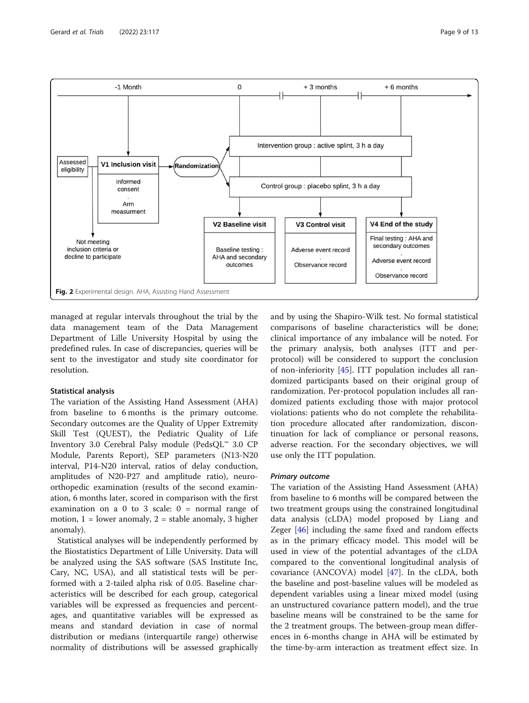<span id="page-8-0"></span>

managed at regular intervals throughout the trial by the data management team of the Data Management Department of Lille University Hospital by using the predefined rules. In case of discrepancies, queries will be sent to the investigator and study site coordinator for resolution.

## Statistical analysis

The variation of the Assisting Hand Assessment (AHA) from baseline to 6 months is the primary outcome. Secondary outcomes are the Quality of Upper Extremity Skill Test (QUEST), the Pediatric Quality of Life Inventory 3.0 Cerebral Palsy module (PedsQL™ 3.0 CP Module, Parents Report), SEP parameters (N13-N20 interval, P14-N20 interval, ratios of delay conduction, amplitudes of N20-P27 and amplitude ratio), neuroorthopedic examination (results of the second examination, 6 months later, scored in comparison with the first examination on a 0 to 3 scale:  $0 = normal range of$ motion,  $1 =$  lower anomaly,  $2 =$  stable anomaly, 3 higher anomaly).

Statistical analyses will be independently performed by the Biostatistics Department of Lille University. Data will be analyzed using the SAS software (SAS Institute Inc, Cary, NC, USA), and all statistical tests will be performed with a 2-tailed alpha risk of 0.05. Baseline characteristics will be described for each group, categorical variables will be expressed as frequencies and percentages, and quantitative variables will be expressed as means and standard deviation in case of normal distribution or medians (interquartile range) otherwise normality of distributions will be assessed graphically and by using the Shapiro-Wilk test. No formal statistical comparisons of baseline characteristics will be done; clinical importance of any imbalance will be noted. For the primary analysis, both analyses (ITT and perprotocol) will be considered to support the conclusion of non-inferiority [[45](#page-11-0)]. ITT population includes all randomized participants based on their original group of randomization. Per-protocol population includes all randomized patients excluding those with major protocol violations: patients who do not complete the rehabilitation procedure allocated after randomization, discontinuation for lack of compliance or personal reasons, adverse reaction. For the secondary objectives, we will use only the ITT population.

## Primary outcome

The variation of the Assisting Hand Assessment (AHA) from baseline to 6 months will be compared between the two treatment groups using the constrained longitudinal data analysis (cLDA) model proposed by Liang and Zeger [[46\]](#page-12-0) including the same fixed and random effects as in the primary efficacy model. This model will be used in view of the potential advantages of the cLDA compared to the conventional longitudinal analysis of covariance (ANCOVA) model [[47\]](#page-12-0). In the cLDA, both the baseline and post-baseline values will be modeled as dependent variables using a linear mixed model (using an unstructured covariance pattern model), and the true baseline means will be constrained to be the same for the 2 treatment groups. The between-group mean differences in 6-months change in AHA will be estimated by the time-by-arm interaction as treatment effect size. In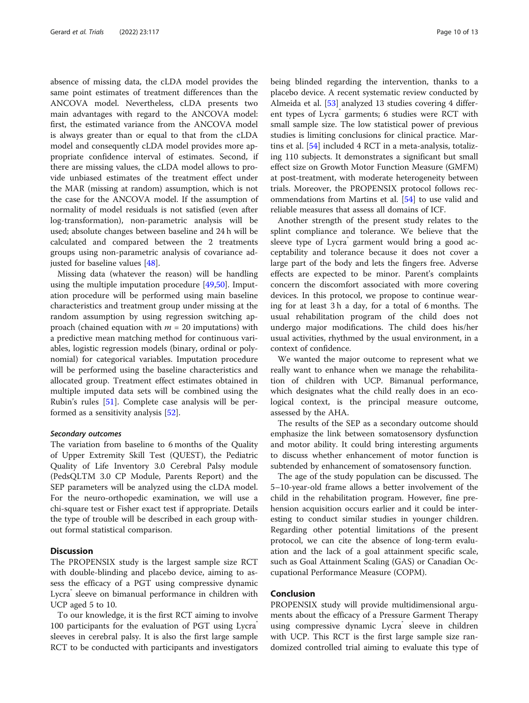absence of missing data, the cLDA model provides the same point estimates of treatment differences than the ANCOVA model. Nevertheless, cLDA presents two main advantages with regard to the ANCOVA model: first, the estimated variance from the ANCOVA model is always greater than or equal to that from the cLDA model and consequently cLDA model provides more appropriate confidence interval of estimates. Second, if there are missing values, the cLDA model allows to provide unbiased estimates of the treatment effect under the MAR (missing at random) assumption, which is not the case for the ANCOVA model. If the assumption of normality of model residuals is not satisfied (even after log-transformation), non-parametric analysis will be used; absolute changes between baseline and 24 h will be calculated and compared between the 2 treatments groups using non-parametric analysis of covariance adjusted for baseline values [\[48](#page-12-0)].

Missing data (whatever the reason) will be handling using the multiple imputation procedure [\[49,50](#page-12-0)]. Imputation procedure will be performed using main baseline characteristics and treatment group under missing at the random assumption by using regression switching approach (chained equation with  $m = 20$  imputations) with a predictive mean matching method for continuous variables, logistic regression models (binary, ordinal or polynomial) for categorical variables. Imputation procedure will be performed using the baseline characteristics and allocated group. Treatment effect estimates obtained in multiple imputed data sets will be combined using the Rubin's rules [[51\]](#page-12-0). Complete case analysis will be performed as a sensitivity analysis [\[52\]](#page-12-0).

#### Secondary outcomes

The variation from baseline to 6 months of the Quality of Upper Extremity Skill Test (QUEST), the Pediatric Quality of Life Inventory 3.0 Cerebral Palsy module (PedsQLTM 3.0 CP Module, Parents Report) and the SEP parameters will be analyzed using the cLDA model. For the neuro-orthopedic examination, we will use a chi-square test or Fisher exact test if appropriate. Details the type of trouble will be described in each group without formal statistical comparison.

## **Discussion**

The PROPENSIX study is the largest sample size RCT with double-blinding and placebo device, aiming to assess the efficacy of a PGT using compressive dynamic Lycra sleeve on bimanual performance in children with UCP aged 5 to 10.

To our knowledge, it is the first RCT aiming to involve 100 participants for the evaluation of PGT using Lycra sleeves in cerebral palsy. It is also the first large sample RCT to be conducted with participants and investigators being blinded regarding the intervention, thanks to a placebo device. A recent systematic review conducted by Almeida et al. [\[53](#page-12-0)] analyzed 13 studies covering 4 different types of Lycra garments; 6 studies were RCT with small sample size. The low statistical power of previous studies is limiting conclusions for clinical practice. Martins et al. [\[54\]](#page-12-0) included 4 RCT in a meta-analysis, totalizing 110 subjects. It demonstrates a significant but small effect size on Growth Motor Function Measure (GMFM) at post-treatment, with moderate heterogeneity between trials. Moreover, the PROPENSIX protocol follows recommendations from Martins et al. [\[54](#page-12-0)] to use valid and reliable measures that assess all domains of ICF.

Another strength of the present study relates to the splint compliance and tolerance. We believe that the sleeve type of Lycra<sup>®</sup> garment would bring a good acceptability and tolerance because it does not cover a large part of the body and lets the fingers free. Adverse effects are expected to be minor. Parent's complaints concern the discomfort associated with more covering devices. In this protocol, we propose to continue wearing for at least 3 h a day, for a total of 6 months. The usual rehabilitation program of the child does not undergo major modifications. The child does his/her usual activities, rhythmed by the usual environment, in a context of confidence.

We wanted the major outcome to represent what we really want to enhance when we manage the rehabilitation of children with UCP. Bimanual performance, which designates what the child really does in an ecological context, is the principal measure outcome, assessed by the AHA.

The results of the SEP as a secondary outcome should emphasize the link between somatosensory dysfunction and motor ability. It could bring interesting arguments to discuss whether enhancement of motor function is subtended by enhancement of somatosensory function.

The age of the study population can be discussed. The 5–10-year-old frame allows a better involvement of the child in the rehabilitation program. However, fine prehension acquisition occurs earlier and it could be interesting to conduct similar studies in younger children. Regarding other potential limitations of the present protocol, we can cite the absence of long-term evaluation and the lack of a goal attainment specific scale, such as Goal Attainment Scaling (GAS) or Canadian Occupational Performance Measure (COPM).

## Conclusion

PROPENSIX study will provide multidimensional arguments about the efficacy of a Pressure Garment Therapy using compressive dynamic Lycra sleeve in children with UCP. This RCT is the first large sample size randomized controlled trial aiming to evaluate this type of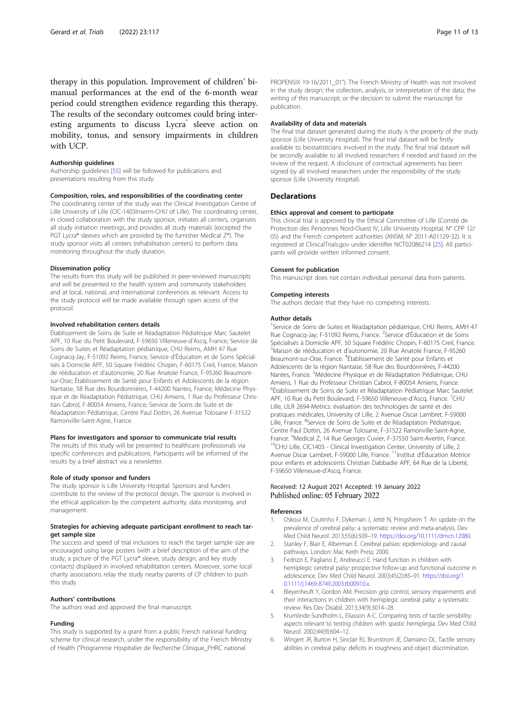<span id="page-10-0"></span>therapy in this population. Improvement of children' bimanual performances at the end of the 6-month wear period could strengthen evidence regarding this therapy. The results of the secondary outcomes could bring interesting arguments to discuss Lycra<sup>®</sup> sleeve action on mobility, tonus, and sensory impairments in children with UCP.

#### Authorship guidelines

Authorship guidelines [[55](#page-12-0)] will be followed for publications and presentations resulting from this study.

#### Composition, roles, and responsibilities of the coordinating center

The coordinating center of the study was the Clinical Investigation Centre of Lille University of Lille (CIC-1403Inserm-CHU of Lille). The coordinating center, in closed collaboration with the study sponsor, initiates all centers, organizes all study initiation meetings, and provides all study materials (excepted the PGT Lycra® sleeves which are provided by the furnisher Medical Z®). The study sponsor visits all centers (rehabilitation centers) to perform data monitoring throughout the study duration.

#### Dissemination policy

The results from this study will be published in peer-reviewed manuscripts and will be presented to the health system and community stakeholders and at local, national, and international conferences as relevant. Access to the study protocol will be made available through open access of the protocol.

#### Involved rehabilitation centers details

Établissement de Soins de Suite et Réadaptation Pédiatrique Marc Sautelet APF, 10 Rue du Petit Boulevard, F-59650 Villeneuve-d'Ascq, France; Service de Soins de Suites et Réadaptation pédiatrique, CHU Reims, AMH 47 Rue Cognacq-Jay, F-51092 Reims, France; Service d'Éducation et de Soins Spécialisés à Domicile APF, 50 Square Frédéric Chopin, F-60175 Creil, France; Maison de rééducation et d'autonomie, 20 Rue Anatole France, F-95260 Beaumontsur-Oise; Établissement de Santé pour Enfants et Adolescents de la région Nantaise, 58 Rue des Bourdonnières, F-44200 Nantes, France; Médecine Physique et de Réadaptation Pédiatrique, CHU Amiens, 1 Rue du Professeur Christian Cabrol, F-80054 Amiens, France; Service de Soins de Suite et de Réadaptation Pédiatrique, Centre Paul Dottin, 26 Avenue Tolosane F-31522 Ramonville-Saint-Agne, France.

#### Plans for investigators and sponsor to communicate trial results

The results of this study will be presented to healthcare professionals via specific conferences and publications. Participants will be informed of the results by a brief abstract via a newsletter.

#### Role of study sponsor and funders

The study sponsor is Lille University Hospital. Sponsors and funders contribute to the review of the protocol design. The sponsor is involved in the ethical application by the competent authority, data monitoring, and management.

#### Strategies for achieving adequate participant enrollment to reach target sample size

The success and speed of trial inclusions to reach the target sample size are encouraged using large posters (with a brief description of the aim of the study, a picture of the PGT Lycra® sleeve, study design, and key study contacts) displayed in involved rehabilitation centers. Moreover, some local charity associations relay the study nearby parents of CP children to push this study.

#### Authors' contributions

The authors read and approved the final manuscript.

#### Funding

This study is supported by a grant from a public French national funding scheme for clinical research, under the responsibility of the French Ministry of Health ("Programme Hospitalier de Recherche Clinique\_PHRC national

#### Availability of data and materials

The final trial dataset generated during the study is the property of the study sponsor (Lille University Hospital). The final trial dataset will be firstly available to biostatisticians involved in the study. The final trial dataset will be secondly available to all involved researchers if needed and based on the review of the request. A disclosure of contractual agreements has been signed by all involved researchers under the responsibility of the study sponsor (Lille University Hospital).

#### **Declarations**

#### Ethics approval and consent to participate

This clinical trial is approved by the Ethical Committee of Lille (Comité de Protection des Personnes Nord-Ouest IV, Lille University Hospital, N° CPP 12/ 05) and the French competent authorities (ANSM, N° 2011-A01129-32). It is registered at ClinicalTrials.gov under identifier NCT02086214 [[25\]](#page-11-0). All participants will provide written informed consent.

#### Consent for publication

This manuscript does not contain individual personal data from patients.

#### Competing interests

The authors declare that they have no competing interests.

#### Author details

<sup>1</sup>Service de Soins de Suites et Réadaptation pédiatrique, CHU Reims, AMH 47 Rue Cognacq-Jay, F-51092 Reims, France. <sup>2</sup>Service d'Éducation et de Soins Spécialisés à Domicile APF, 50 Square Frédéric Chopin, F-60175 Creil, France. 3 Maison de rééducation et d'autonomie, 20 Rue Anatole France, F-95260 Beaumont-sur-Oise, France. <sup>4</sup>Établissement de Santé pour Enfants et Adolescents de la région Nantaise, 58 Rue des Bourdonnières, F-44200 Nantes, France. <sup>5</sup>Médecine Physique et de Réadaptation Pédiatrique, CHU Amiens, 1 Rue du Professeur Christian Cabrol, F-80054 Amiens, France. <sup>6</sup>Établissement de Soins de Suite et Réadaptation Pédiatrique Marc Sautelet APF, 10 Rue du Petit Boulevard, F-59650 Villeneuve-d'Ascq, France. <sup>7</sup>CHU Lille, ULR 2694-Metrics: évaluation des technologies de santé et des pratiques médicales, University of Lille, 2 Avenue Oscar Lambret, F-59000 Lille, France. <sup>8</sup>Service de Soins de Suite et de Réadaptation Pédiatrique, Centre Paul Dottin, 26 Avenue Tolosane, F-31522 Ramonville-Saint-Agne, France. <sup>9</sup>Medical Z, 14 Rue Georges Cuvier, F-37550 Saint-Avertin, France. <sup>10</sup>CHU Lille, CIC1403 - Clinical Investigation Center, University of Lille, 2 Avenue Oscar Lambret, F-59000 Lille, France. <sup>11</sup>Institut d'Éducation Motrice pour enfants et adolescents Christian Dabbadie APF, 64 Rue de la Liberté, F-59650 Villeneuve-d'Ascq, France.

#### Received: 12 August 2021 Accepted: 19 January 2022 Published online: 05 February 2022

#### References

- Oskoui M, Coutinho F, Dykeman J, Jetté N, Pringsheim T. An update on the prevalence of cerebral palsy: a systematic review and meta-analysis. Dev Med Child Neurol. 2013;55(6):509–19. [https://doi.org/10.1111/dmcn.12080.](https://doi.org/10.1111/dmcn.12080)
- 2. Stanley F, Blair E, Alberman E. Cerebral palsies: epidemiology and causal pathways. London: Mac Keith Press; 2000.
- 3. Fedrizzi E, Pagliano E, Andreucci E. Hand function in children with hemiplegic cerebral palsy: prospective follow-up and functional outcome in adolescence. Dev Med Child Neurol. 2003;45(2):85–91. [https://doi.org/1](https://doi.org/10.1111/j.1469-8749.2003.tb00910.x) [0.1111/j.1469-8749.2003.tb00910.x.](https://doi.org/10.1111/j.1469-8749.2003.tb00910.x)
- 4. Bleyenheuft Y, Gordon AM. Precision grip control, sensory impairments and their interactions in children with hemiplegic cerebral palsy: a systematic review. Res Dev Disabil. 2013;34(9):3014–28.
- Krumlinde-Sundholm L, Eliasson A-C. Comparing tests of tactile sensibility: aspects relevant to testing children with spastic hemiplegia. Dev Med Child Neurol. 2002;44(9):604–12.
- 6. Wingert JR, Burton H, Sinclair RJ, Brunstrom JE, Damiano DL. Tactile sensory abilities in cerebral palsy: deficits in roughness and object discrimination.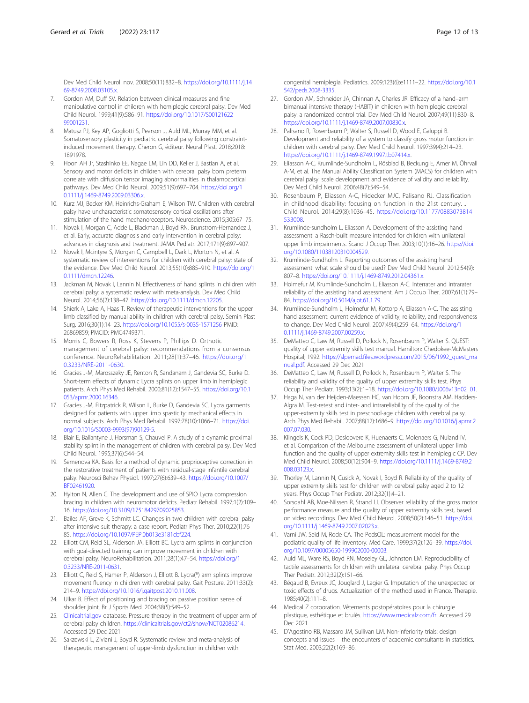<span id="page-11-0"></span>Dev Med Child Neurol. nov. 2008;50(11):832–8. [https://doi.org/10.1111/j.14](https://doi.org/10.1111/j.1469-8749.2008.03105.x) [69-8749.2008.03105.x.](https://doi.org/10.1111/j.1469-8749.2008.03105.x)

- 7. Gordon AM, Duff SV. Relation between clinical measures and fine manipulative control in children with hemiplegic cerebral palsy. Dev Med Child Neurol. 1999;41(9):586–91. [https://doi.org/10.1017/S00121622](https://doi.org/10.1017/S0012162299001231) [99001231.](https://doi.org/10.1017/S0012162299001231)
- Matusz PJ, Key AP, Gogliotti S, Pearson J, Auld ML, Murray MM, et al. Somatosensory plasticity in pediatric cerebral palsy following constraintinduced movement therapy. Cheron G, éditeur. Neural Plast. 2018;2018: 1891978.
- 9. Hoon AH Jr, Stashinko EE, Nagae LM, Lin DD, Keller J, Bastian A, et al. Sensory and motor deficits in children with cerebral palsy born preterm correlate with diffusion tensor imaging abnormalities in thalamocortical pathways. Dev Med Child Neurol. 2009;51(9):697–704. [https://doi.org/1](https://doi.org/10.1111/j.1469-8749.2009.03306.x) [0.1111/j.1469-8749.2009.03306.x.](https://doi.org/10.1111/j.1469-8749.2009.03306.x)
- 10. Kurz MJ, Becker KM, Heinrichs-Graham E, Wilson TW. Children with cerebral palsy have uncharacteristic somatosensory cortical oscillations after stimulation of the hand mechanoreceptors. Neuroscience. 2015;305:67–75.
- 11. Novak I, Morgan C, Adde L, Blackman J, Boyd RN, Brunstrom-Hernandez J, et al. Early, accurate diagnosis and early intervention in cerebral palsy: advances in diagnosis and treatment. JAMA Pediatr. 2017;171(9):897–907.
- 12. Novak I, Mcintyre S, Morgan C, Campbell L, Dark L, Morton N, et al. A systematic review of interventions for children with cerebral palsy: state of the evidence. Dev Med Child Neurol. 2013;55(10):885–910. [https://doi.org/1](https://doi.org/10.1111/dmcn.12246) [0.1111/dmcn.12246](https://doi.org/10.1111/dmcn.12246).
- 13. Jackman M, Novak I, Lannin N. Effectiveness of hand splints in children with cerebral palsy: a systematic review with meta-analysis. Dev Med Child Neurol. 2014;56(2):138–47. [https://doi.org/10.1111/dmcn.12205.](https://doi.org/10.1111/dmcn.12205)
- 14. Shierk A, Lake A, Haas T. Review of therapeutic interventions for the upper limb classified by manual ability in children with cerebral palsy. Semin Plast Surg. 2016;30(1):14–23. <https://doi.org/10.1055/s-0035-1571256> PMID: 26869859; PMCID: PMC4749371.
- 15. Morris C, Bowers R, Ross K, Stevens P, Phillips D. Orthotic management of cerebral palsy: recommendations from a consensus conference. NeuroRehabilitation. 2011;28(1):37–46. [https://doi.org/1](https://doi.org/10.3233/NRE-2011-0630) [0.3233/NRE-2011-0630](https://doi.org/10.3233/NRE-2011-0630).
- 16. Gracies J-M, Marosszeky JE, Renton R, Sandanam J, Gandevia SC, Burke D. Short-term effects of dynamic Lycra splints on upper limb in hemiplegic patients. Arch Phys Med Rehabil. 2000;81(12):1547–55. [https://doi.org/10.1](https://doi.org/10.1053/apmr.2000.16346) [053/apmr.2000.16346](https://doi.org/10.1053/apmr.2000.16346).
- 17. Gracies J-M, Fitzpatrick R, Wilson L, Burke D, Gandevia SC. Lycra garments designed for patients with upper limb spasticity: mechanical effects in normal subjects. Arch Phys Med Rehabil. 1997;78(10):1066–71. [https://doi.](https://doi.org/10.1016/S0003-9993(97)90129-5) [org/10.1016/S0003-9993\(97\)90129-5.](https://doi.org/10.1016/S0003-9993(97)90129-5)
- 18. Blair E, Ballantyne J, Horsman S, Chauvel P. A study of a dynamic proximal stability splint in the management of children with cerebral palsy. Dev Med Child Neurol. 1995;37(6):544–54.
- 19. Semenova KA. Basis for a method of dynamic proprioceptive correction in the restorative treatment of patients with residual-stage infantile cerebral palsy. Neurosci Behav Physiol. 1997;27(6):639–43. [https://doi.org/10.1007/](https://doi.org/10.1007/BF02461920) [BF02461920.](https://doi.org/10.1007/BF02461920)
- 20. Hylton N, Allen C. The development and use of SPIO Lycra compression bracing in children with neuromotor deficits. Pediatr Rehabil. 1997;1(2):109– 16. <https://doi.org/10.3109/17518429709025853>.
- 21. Bailes AF, Greve K, Schmitt LC. Changes in two children with cerebral palsy after intensive suit therapy: a case report. Pediatr Phys Ther. 2010;22(1):76– 85. <https://doi.org/10.1097/PEP.0b013e3181cbf224>.
- 22. Elliott CM, Reid SL, Alderson JA, Elliott BC. Lycra arm splints in conjunction with goal-directed training can improve movement in children with cerebral palsy. NeuroRehabilitation. 2011;28(1):47–54. [https://doi.org/1](https://doi.org/10.3233/NRE-2011-0631) [0.3233/NRE-2011-0631](https://doi.org/10.3233/NRE-2011-0631).
- 23. Elliott C, Reid S, Hamer P, Alderson J, Elliott B. Lycra(®) arm splints improve movement fluency in children with cerebral palsy. Gait Posture. 2011;33(2): 214–9. <https://doi.org/10.1016/j.gaitpost.2010.11.008>.
- 24. Ulkar B. Effect of positioning and bracing on passive position sense of shoulder joint. Br J Sports Med. 2004;38(5):549–52.
- 25. [Clinicaltrial.gov](http://clinicaltrial.gov) database. Pressure therapy in the treatment of upper arm of cerebral palsy children. <https://clinicaltrials.gov/ct2/show/NCT02086214>. Accessed 29 Dec 2021
- 26. Sakzewski L, Ziviani J, Boyd R. Systematic review and meta-analysis of therapeutic management of upper-limb dysfunction in children with

congenital hemiplegia. Pediatrics. 2009;123(6):e1111–22. [https://doi.org/10.1](https://doi.org/10.1542/peds.2008-3335) [542/peds.2008-3335.](https://doi.org/10.1542/peds.2008-3335)

- 27. Gordon AM, Schneider JA, Chinnan A, Charles JR. Efficacy of a hand–arm bimanual intensive therapy (HABIT) in children with hemiplegic cerebral palsy: a randomized control trial. Dev Med Child Neurol. 2007;49(11):830–8. <https://doi.org/10.1111/j.1469-8749.2007.00830.x>.
- 28. Palisano R, Rosenbaum P, Walter S, Russell D, Wood E, Galuppi B. Development and reliability of a system to classify gross motor function in children with cerebral palsy. Dev Med Child Neurol. 1997;39(4):214–23. <https://doi.org/10.1111/j.1469-8749.1997.tb07414.x>.
- 29. Eliasson A-C, Krumlinde-Sundholm L, Rösblad B, Beckung E, Arner M, Öhrvall A-M, et al. The Manual Ability Classification System (MACS) for children with cerebral palsy: scale development and evidence of validity and reliability. Dev Med Child Neurol. 2006;48(7):549–54.
- 30. Rosenbaum P, Eliasson A-C, Hidecker MJC, Palisano RJ. Classification in childhood disability: focusing on function in the 21st century. J Child Neurol. 2014;29(8):1036–45. [https://doi.org/10.1177/0883073814](https://doi.org/10.1177/0883073814533008) [533008](https://doi.org/10.1177/0883073814533008).
- 31. Krumlinde-sundholm L, Eliasson A. Development of the assisting hand assessment: a Rasch-built measure intended for children with unilateral upper limb impairments. Scand J Occup Ther. 2003;10(1):16–26. [https://doi.](https://doi.org/10.1080/11038120310004529) [org/10.1080/11038120310004529](https://doi.org/10.1080/11038120310004529).
- 32. Krumlinde-Sundholm L. Reporting outcomes of the assisting hand assessment: what scale should be used? Dev Med Child Neurol. 2012;54(9): 807–8. [https://doi.org/10.1111/j.1469-8749.2012.04361.x.](https://doi.org/10.1111/j.1469-8749.2012.04361.x)
- 33. Holmefur M, Krumlinde-Sundholm L, Eliasson A-C. Interrater and intrarater reliability of the assisting hand assessment. Am J Occup Ther. 2007;61(1):79– 84. <https://doi.org/10.5014/ajot.61.1.79>.
- 34. Krumlinde-Sundholm L, Holmefur M, Kottorp A, Eliasson A-C. The assisting hand assessment: current evidence of validity, reliability, and responsiveness to change. Dev Med Child Neurol. 2007;49(4):259–64. [https://doi.org/1](https://doi.org/10.1111/j.1469-8749.2007.00259.x) [0.1111/j.1469-8749.2007.00259.x.](https://doi.org/10.1111/j.1469-8749.2007.00259.x)
- 35. DeMatteo C, Law M, Russell D, Pollock N, Rosenbaum P, Walter S. QUEST: quality of upper extremity skills test manual. Hamilton: Chedokee-McMasters Hospital; 1992. [https://slpemad.files.wordpress.com/2015/06/1992\\_quest\\_ma](https://slpemad.files.wordpress.com/2015/06/1992_quest_manual.pdf) [nual.pdf.](https://slpemad.files.wordpress.com/2015/06/1992_quest_manual.pdf) Accessed 29 Dec 2021
- 36. DeMatteo C, Law M, Russell D, Pollock N, Rosenbaum P, Walter S. The reliability and validity of the quality of upper extremity skills test. Phys Occup Ther Pediatr. 1993;13(2):1–18. [https://doi.org/10.1080/J006v13n02\\_01](https://doi.org/10.1080/J006v13n02_01).
- 37. Haga N, van der Heijden-Maessen HC, van Hoorn JF, Boonstra AM, Hadders-Algra M. Test-retest and inter- and intrareliability of the quality of the upper-extremity skills test in preschool-age children with cerebral palsy. Arch Phys Med Rehabil. 2007;88(12):1686–9. [https://doi.org/10.1016/j.apmr.2](https://doi.org/10.1016/j.apmr.2007.07.030) [007.07.030](https://doi.org/10.1016/j.apmr.2007.07.030).
- 38. Klingels K, Cock PD, Desloovere K, Huenaerts C, Molenaers G, Nuland IV, et al. Comparison of the Melbourne assessment of unilateral upper limb function and the quality of upper extremity skills test in hemiplegic CP. Dev Med Child Neurol. 2008;50(12):904–9. [https://doi.org/10.1111/j.1469-8749.2](https://doi.org/10.1111/j.1469-8749.2008.03123.x) [008.03123.x](https://doi.org/10.1111/j.1469-8749.2008.03123.x).
- 39. Thorley M, Lannin N, Cusick A, Novak I, Boyd R. Reliability of the quality of upper extremity skills test for children with cerebral palsy aged 2 to 12 years. Phys Occup Ther Pediatr. 2012;32(1):4–21.
- 40. Sorsdahl AB, Moe-Nilssen R, Strand LI. Observer reliability of the gross motor performance measure and the quality of upper extremity skills test, based on video recordings. Dev Med Child Neurol. 2008;50(2):146–51. [https://doi.](https://doi.org/10.1111/j.1469-8749.2007.02023.x) [org/10.1111/j.1469-8749.2007.02023.x](https://doi.org/10.1111/j.1469-8749.2007.02023.x).
- 41. Varni JW, Seid M, Rode CA. The PedsQL: measurement model for the pediatric quality of life inventory. Med Care. 1999;37(2):126–39. [https://doi.](https://doi.org/10.1097/00005650-199902000-00003) [org/10.1097/00005650-199902000-00003](https://doi.org/10.1097/00005650-199902000-00003).
- 42. Auld ML, Ware RS, Boyd RN, Moseley GL, Johnston LM. Reproducibility of tactile assessments for children with unilateral cerebral palsy. Phys Occup Ther Pediatr. 2012;32(2):151–66.
- 43. Bégaud B, Evreux JC, Jouglard J, Lagier G. Imputation of the unexpected or toxic effects of drugs. Actualization of the method used in France. Therapie. 1985;40(2):111–8.
- 44. Medical Z corporation. Vêtements postopératoires pour la chirurgie plastique, esthétique et brulés. [https://www.medicalz.com/fr.](https://www.medicalz.com/fr) Accessed 29 Dec 2021
- 45. D'Agostino RB, Massaro JM, Sullivan LM. Non-inferiority trials: design concepts and issues – the encounters of academic consultants in statistics. Stat Med. 2003;22(2):169–86.